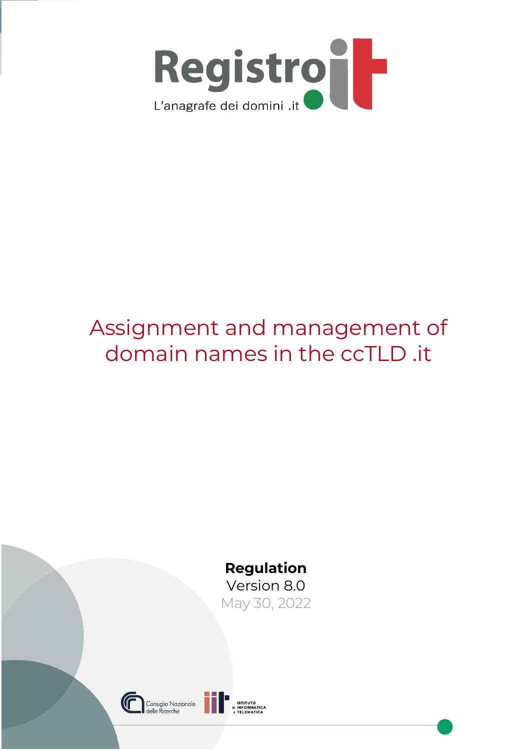

# Assignment and management of domain names in the ccTLD .it



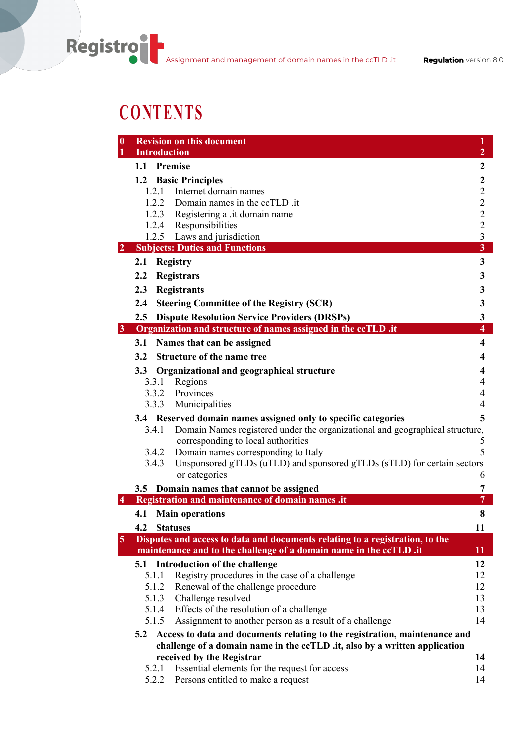# **CONTENTS**

| <b>Revision on this document</b><br>$\boldsymbol{0}$<br><b>Introduction</b><br>1                               | $\mathbf{1}$<br>$\overline{2}$ |
|----------------------------------------------------------------------------------------------------------------|--------------------------------|
| 1.1 Premise                                                                                                    | $\mathbf{2}$                   |
|                                                                                                                |                                |
| 1.2 Basic Principles<br>1.2.1<br>Internet domain names                                                         | $\mathbf{2}$<br>$\overline{2}$ |
| 1.2.2 Domain names in the ccTLD .it                                                                            | $\overline{2}$                 |
| 1.2.3 Registering a .it domain name                                                                            | $\overline{c}$                 |
| 1.2.4 Responsibilities                                                                                         |                                |
| 1.2.5 Laws and jurisdiction                                                                                    | $\frac{2}{3}$                  |
| <b>Subjects: Duties and Functions</b><br>$\overline{2}$                                                        | $\overline{\mathbf{3}}$        |
| <b>Registry</b><br>2.1                                                                                         | 3                              |
| 2.2<br><b>Registrars</b>                                                                                       | 3                              |
| <b>Registrants</b><br>2.3                                                                                      | 3                              |
| 2.4<br><b>Steering Committee of the Registry (SCR)</b>                                                         | $\mathbf{3}$                   |
| <b>Dispute Resolution Service Providers (DRSPs)</b><br>2.5                                                     | $\mathbf{3}$                   |
| 3 Organization and structure of names assigned in the ccTLD .it                                                | $\overline{\mathbf{4}}$        |
| Names that can be assigned<br>3.1                                                                              | 4                              |
| 3.2<br><b>Structure of the name tree</b>                                                                       | 4                              |
| $3.3\phantom{0}$<br>Organizational and geographical structure                                                  | 4                              |
| Regions<br>3.3.1                                                                                               | 4                              |
| 3.3.2 Provinces                                                                                                | 4                              |
| 3.3.3 Municipalities                                                                                           | 4                              |
| 3.4 Reserved domain names assigned only to specific categories                                                 | 5                              |
| Domain Names registered under the organizational and geographical structure,<br>3.4.1                          |                                |
| corresponding to local authorities                                                                             | 5                              |
| 3.4.2<br>Domain names corresponding to Italy                                                                   | 5                              |
| 3.4.3<br>Unsponsored gTLDs (uTLD) and sponsored gTLDs (sTLD) for certain sectors<br>or categories              | 6                              |
|                                                                                                                |                                |
| 3.5 Domain names that cannot be assigned<br>Registration and maintenance of domain names .it<br>$\overline{4}$ | 7<br>$\overline{7}$            |
| 4.1<br><b>Main operations</b>                                                                                  | 8                              |
| 4.2<br><b>Statuses</b>                                                                                         | 11                             |
| 5<br>Disputes and access to data and documents relating to a registration, to the                              |                                |
| maintenance and to the challenge of a domain name in the ccTLD .it                                             | 11                             |
| Introduction of the challenge<br>5.1                                                                           | 12                             |
| Registry procedures in the case of a challenge<br>5.1.1                                                        | 12                             |
| Renewal of the challenge procedure<br>5.1.2                                                                    | 12                             |
| 5.1.3<br>Challenge resolved                                                                                    | 13                             |
| 5.1.4<br>Effects of the resolution of a challenge                                                              | 13                             |
| 5.1.5<br>Assignment to another person as a result of a challenge                                               | 14                             |
| Access to data and documents relating to the registration, maintenance and<br>5.2                              |                                |
| challenge of a domain name in the ccTLD .it, also by a written application                                     |                                |
| received by the Registrar                                                                                      | 14                             |
| Essential elements for the request for access<br>5.2.1<br>Persons entitled to make a request<br>5.2.2          | 14<br>14                       |
|                                                                                                                |                                |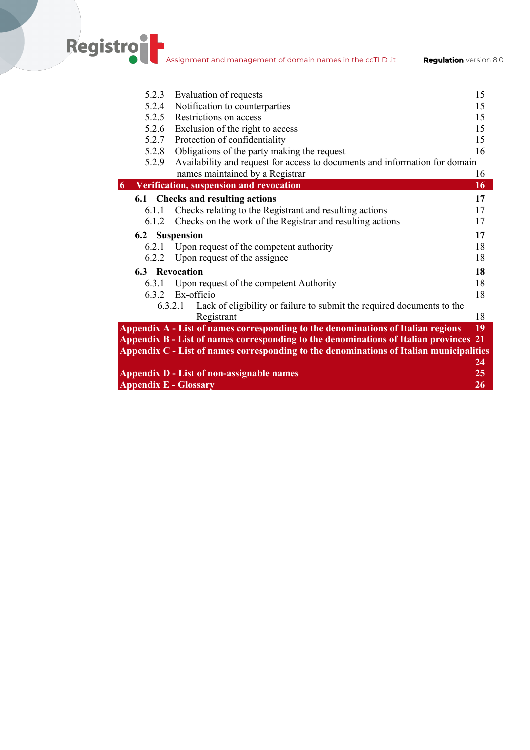**Registro** Assignment and management of domain names in the ccTLD .it **Regulation** version 8.0

| 5.2.3<br>Evaluation of requests<br>5.2.4<br>Notification to counterparties<br>5.2.5 Restrictions on access<br>Exclusion of the right to access<br>5.2.6<br>Protection of confidentiality<br>5.2.7 | 15<br>15<br>15<br>15<br>15<br>16 |
|---------------------------------------------------------------------------------------------------------------------------------------------------------------------------------------------------|----------------------------------|
|                                                                                                                                                                                                   |                                  |
|                                                                                                                                                                                                   |                                  |
|                                                                                                                                                                                                   |                                  |
|                                                                                                                                                                                                   |                                  |
|                                                                                                                                                                                                   |                                  |
| Obligations of the party making the request<br>5.2.8                                                                                                                                              |                                  |
| Availability and request for access to documents and information for domain<br>5.2.9                                                                                                              |                                  |
| names maintained by a Registrar                                                                                                                                                                   | 16                               |
| Verification, suspension and revocation<br>6                                                                                                                                                      | 16                               |
| 6.1 Checks and resulting actions                                                                                                                                                                  | 17                               |
| Checks relating to the Registrant and resulting actions<br>6.1.1                                                                                                                                  | 17                               |
| Checks on the work of the Registrar and resulting actions<br>6.1.2                                                                                                                                | 17                               |
|                                                                                                                                                                                                   |                                  |
| 6.2 Suspension                                                                                                                                                                                    | 17                               |
| Upon request of the competent authority<br>6.2.1                                                                                                                                                  | 18                               |
| Upon request of the assignee<br>6.2.2                                                                                                                                                             | 18                               |
| <b>6.3</b> Revocation                                                                                                                                                                             | 18                               |
| Upon request of the competent Authority<br>6.3.1                                                                                                                                                  | 18                               |
| Ex-officio<br>6.3.2                                                                                                                                                                               | 18                               |
| Lack of eligibility or failure to submit the required documents to the<br>6.3.2.1                                                                                                                 |                                  |
| Registrant                                                                                                                                                                                        | 18                               |
| Appendix A - List of names corresponding to the denominations of Italian regions                                                                                                                  | 19                               |
| Appendix B - List of names corresponding to the denominations of Italian provinces 21                                                                                                             |                                  |
| Appendix C - List of names corresponding to the denominations of Italian municipalities                                                                                                           |                                  |
|                                                                                                                                                                                                   | 24                               |
| <b>Appendix D - List of non-assignable names</b>                                                                                                                                                  | 25                               |
| <b>Appendix E - Glossary</b>                                                                                                                                                                      | 26                               |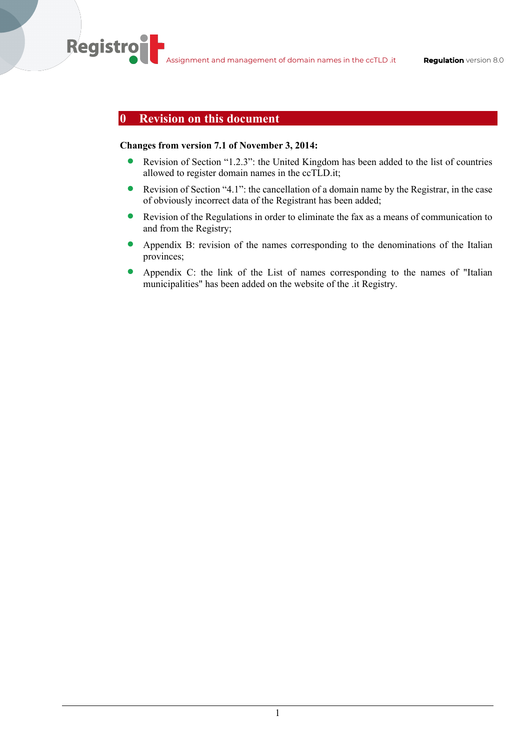## **0 Revision on this document**

**Registro** 

#### **Changes from version 7.1 of November 3, 2014:**

- Revision of Section "1.2.3": the United Kingdom has been added to the list of countries allowed to register domain names in the ccTLD.it;
- Revision of Section "4.1": the cancellation of a domain name by the Registrar, in the case of obviously incorrect data of the Registrant has been added;
- Revision of the Regulations in order to eliminate the fax as a means of communication to and from the Registry;
- Appendix B: revision of the names corresponding to the denominations of the Italian provinces;
- Appendix C: the link of the List of names corresponding to the names of "Italian municipalities" has been added on the website of the .it Registry.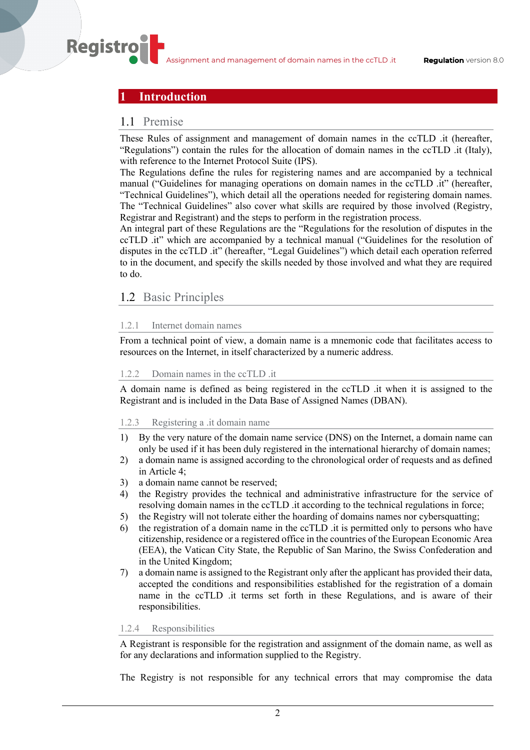## **1 Introduction**

## 1.1 Premise

**Registro** 

These Rules of assignment and management of domain names in the ccTLD .it (hereafter, "Regulations") contain the rules for the allocation of domain names in the ccTLD .it (Italy), with reference to the Internet Protocol Suite (IPS).

The Regulations define the rules for registering names and are accompanied by a technical manual ("Guidelines for managing operations on domain names in the ccTLD .it" (hereafter, "Technical Guidelines"), which detail all the operations needed for registering domain names. The "Technical Guidelines" also cover what skills are required by those involved (Registry, Registrar and Registrant) and the steps to perform in the registration process.

An integral part of these Regulations are the "Regulations for the resolution of disputes in the ccTLD .it" which are accompanied by a technical manual ("Guidelines for the resolution of disputes in the ccTLD .it" (hereafter, "Legal Guidelines") which detail each operation referred to in the document, and specify the skills needed by those involved and what they are required to do.

## 1.2 Basic Principles

#### 1.2.1 Internet domain names

From a technical point of view, a domain name is a mnemonic code that facilitates access to resources on the Internet, in itself characterized by a numeric address.

#### 1.2.2 Domain names in the ccTLD .it

A domain name is defined as being registered in the ccTLD .it when it is assigned to the Registrant and is included in the Data Base of Assigned Names (DBAN).

#### 1.2.3 Registering a .it domain name

- 1) By the very nature of the domain name service (DNS) on the Internet, a domain name can only be used if it has been duly registered in the international hierarchy of domain names;
- 2) a domain name is assigned according to the chronological order of requests and as defined in Article 4;
- 3) a domain name cannot be reserved;
- 4) the Registry provides the technical and administrative infrastructure for the service of resolving domain names in the ccTLD .it according to the technical regulations in force;
- 5) the Registry will not tolerate either the hoarding of domains names nor cybersquatting;
- 6) the registration of a domain name in the ccTLD .it is permitted only to persons who have citizenship, residence or a registered office in the countries of the European Economic Area (EEA), the Vatican City State, the Republic of San Marino, the Swiss Confederation and in the United Kingdom;
- 7) a domain name is assigned to the Registrant only after the applicant has provided their data, accepted the conditions and responsibilities established for the registration of a domain name in the ccTLD .it terms set forth in these Regulations, and is aware of their responsibilities.

#### 1.2.4 Responsibilities

A Registrant is responsible for the registration and assignment of the domain name, as well as for any declarations and information supplied to the Registry.

The Registry is not responsible for any technical errors that may compromise the data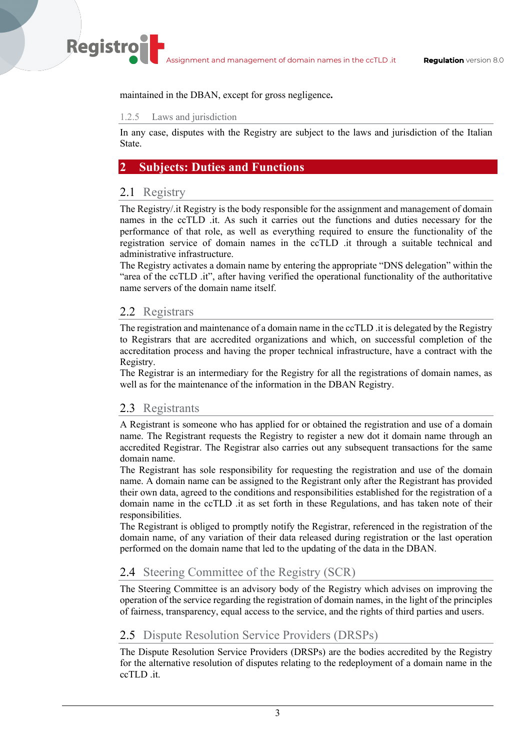maintained in the DBAN, except for gross negligence**.**

#### 1.2.5 Laws and jurisdiction

In any case, disputes with the Registry are subject to the laws and jurisdiction of the Italian State.

## **2 Subjects: Duties and Functions**

## 2.1 Registry

**Registro** 

The Registry/.it Registry is the body responsible for the assignment and management of domain names in the ccTLD .it. As such it carries out the functions and duties necessary for the performance of that role, as well as everything required to ensure the functionality of the registration service of domain names in the ccTLD .it through a suitable technical and administrative infrastructure.

The Registry activates a domain name by entering the appropriate "DNS delegation" within the "area of the ccTLD .it", after having verified the operational functionality of the authoritative name servers of the domain name itself.

## 2.2 Registrars

The registration and maintenance of a domain name in the ccTLD .it is delegated by the Registry to Registrars that are accredited organizations and which, on successful completion of the accreditation process and having the proper technical infrastructure, have a contract with the Registry.

The Registrar is an intermediary for the Registry for all the registrations of domain names, as well as for the maintenance of the information in the DBAN Registry.

## 2.3 Registrants

A Registrant is someone who has applied for or obtained the registration and use of a domain name. The Registrant requests the Registry to register a new dot it domain name through an accredited Registrar. The Registrar also carries out any subsequent transactions for the same domain name.

The Registrant has sole responsibility for requesting the registration and use of the domain name. A domain name can be assigned to the Registrant only after the Registrant has provided their own data, agreed to the conditions and responsibilities established for the registration of a domain name in the ccTLD .it as set forth in these Regulations, and has taken note of their responsibilities.

The Registrant is obliged to promptly notify the Registrar, referenced in the registration of the domain name, of any variation of their data released during registration or the last operation performed on the domain name that led to the updating of the data in the DBAN.

## 2.4 Steering Committee of the Registry (SCR)

The Steering Committee is an advisory body of the Registry which advises on improving the operation of the service regarding the registration of domain names, in the light of the principles of fairness, transparency, equal access to the service, and the rights of third parties and users.

## 2.5 Dispute Resolution Service Providers (DRSPs)

The Dispute Resolution Service Providers (DRSPs) are the bodies accredited by the Registry for the alternative resolution of disputes relating to the redeployment of a domain name in the ccTLD .it.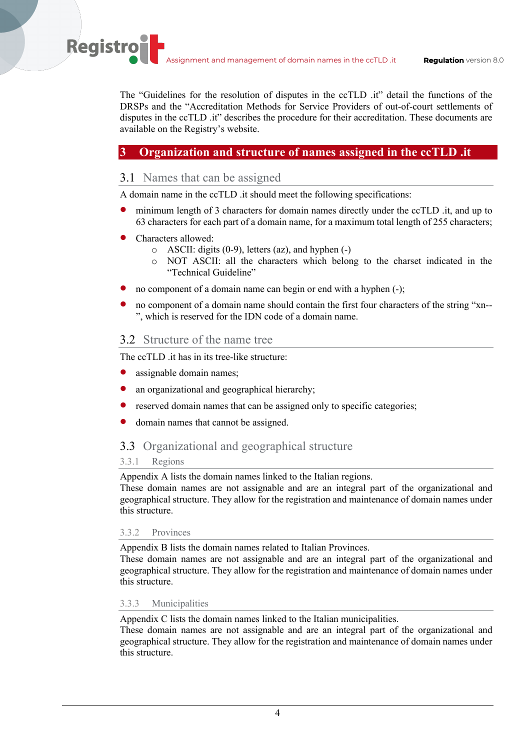The "Guidelines for the resolution of disputes in the ccTLD .it" detail the functions of the DRSPs and the "Accreditation Methods for Service Providers of out-of-court settlements of disputes in the ccTLD .it" describes the procedure for their accreditation. These documents are available on the Registry's website.

## **3 Organization and structure of names assigned in the ccTLD .it**

## 3.1 Names that can be assigned

A domain name in the ccTLD .it should meet the following specifications:

- minimum length of 3 characters for domain names directly under the ccTLD .it, and up to 63 characters for each part of a domain name, for a maximum total length of 255 characters;
- Characters allowed:

**Registro** 

- o ASCII: digits (0-9), letters (az), and hyphen (-)
- o NOT ASCII: all the characters which belong to the charset indicated in the "Technical Guideline"
- no component of a domain name can begin or end with a hyphen (-);
- no component of a domain name should contain the first four characters of the string "xn-- ", which is reserved for the IDN code of a domain name.

## 3.2 Structure of the name tree

The ccTLD .it has in its tree-like structure:

- assignable domain names;
- an organizational and geographical hierarchy;
- reserved domain names that can be assigned only to specific categories;
- domain names that cannot be assigned.

## 3.3 Organizational and geographical structure

#### 3.3.1 Regions

Appendix A lists the domain names linked to the Italian regions.

These domain names are not assignable and are an integral part of the organizational and geographical structure. They allow for the registration and maintenance of domain names under this structure.

#### 3.3.2 Provinces

Appendix B lists the domain names related to Italian Provinces.

These domain names are not assignable and are an integral part of the organizational and geographical structure. They allow for the registration and maintenance of domain names under this structure.

#### 3.3.3 Municipalities

Appendix C lists the domain names linked to the Italian municipalities.

These domain names are not assignable and are an integral part of the organizational and geographical structure. They allow for the registration and maintenance of domain names under this structure.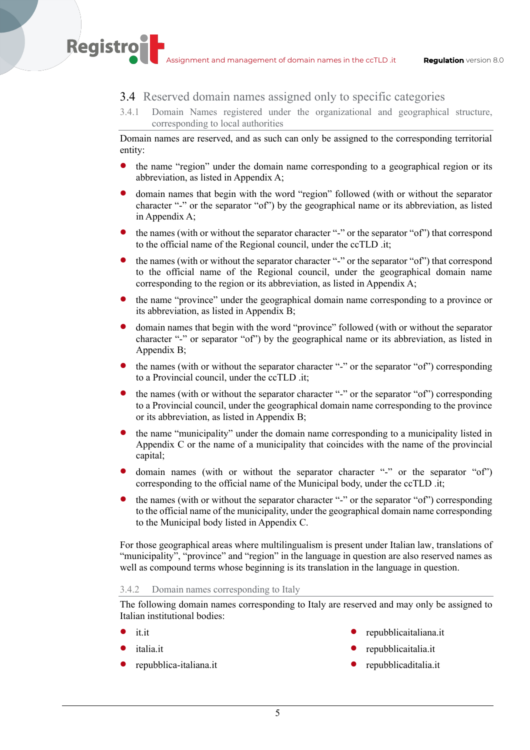## 3.4 Reserved domain names assigned only to specific categories

3.4.1 Domain Names registered under the organizational and geographical structure, corresponding to local authorities

Domain names are reserved, and as such can only be assigned to the corresponding territorial entity:

- the name "region" under the domain name corresponding to a geographical region or its abbreviation, as listed in Appendix A;
- domain names that begin with the word "region" followed (with or without the separator character "-" or the separator "of") by the geographical name or its abbreviation, as listed in Appendix A;
- the names (with or without the separator character "-" or the separator "of") that correspond to the official name of the Regional council, under the ccTLD .it;
- the names (with or without the separator character "-" or the separator "of") that correspond to the official name of the Regional council, under the geographical domain name corresponding to the region or its abbreviation, as listed in Appendix A;
- the name "province" under the geographical domain name corresponding to a province or its abbreviation, as listed in Appendix B;
- domain names that begin with the word "province" followed (with or without the separator character "-" or separator "of") by the geographical name or its abbreviation, as listed in Appendix B;
- the names (with or without the separator character "-" or the separator "of") corresponding to a Provincial council, under the ccTLD .it;
- the names (with or without the separator character "-" or the separator "of") corresponding to a Provincial council, under the geographical domain name corresponding to the province or its abbreviation, as listed in Appendix B;
- the name "municipality" under the domain name corresponding to a municipality listed in Appendix C or the name of a municipality that coincides with the name of the provincial capital;
- domain names (with or without the separator character "-" or the separator "of") corresponding to the official name of the Municipal body, under the ccTLD .it;
- the names (with or without the separator character "-" or the separator "of") corresponding to the official name of the municipality, under the geographical domain name corresponding to the Municipal body listed in Appendix C.

For those geographical areas where multilingualism is present under Italian law, translations of "municipality", "province" and "region" in the language in question are also reserved names as well as compound terms whose beginning is its translation in the language in question.

#### 3.4.2 Domain names corresponding to Italy

The following domain names corresponding to Italy are reserved and may only be assigned to Italian institutional bodies:

• it.it

**Registro** 

- italia.it
- repubblica-italiana.it
- repubblicaitaliana.it
- repubblicaitalia.it
- repubblicaditalia.it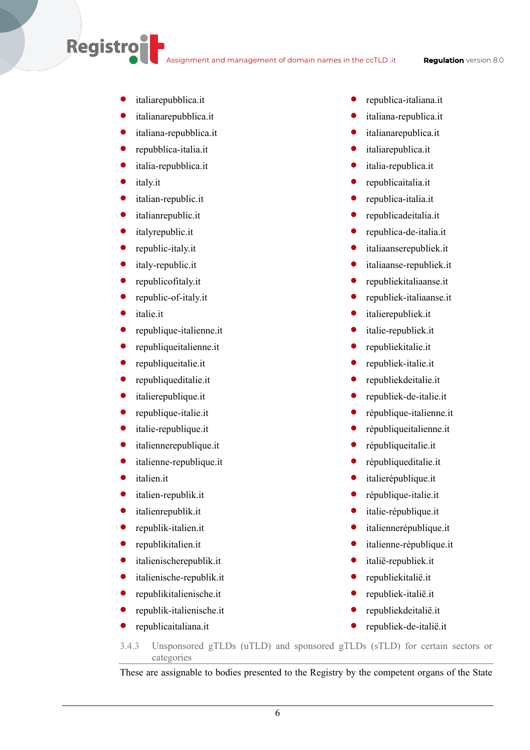Assignment and management of domain names in the ccTLD .it **Regulation** version 8.0

- italiarepubblica.it
- italianarepubblica.it
- italiana-repubblica.it
- repubblica-italia.it
- italia-repubblica.it
- italy.it

**Registro** 

- italian-republic.it
- italianrepublic.it
- italyrepublic.it
- republic-italy.it
- italy-republic.it
- republicofitaly.it
- republic-of-italy.it
- italie.it
- republique-italienne.it
- republiqueitalienne.it
- republiqueitalie.it
- republiqueditalie.it
- italierepublique.it
- republique-italie.it
- italie-republique.it
- italiennerepublique.it
- italienne-republique.it
- italien.it
- italien-republik.it
- italienrepublik.it
- republik-italien.it
- republikitalien.it
- italienischerepublik.it
- italienische-republik.it
- republikitalienische.it
- republik-italienische.it
- republicaitaliana.it
- republica-italiana.it
- italiana-republica.it
- italianarepublica.it
- italiarepublica.it
- italia-republica.it
- republicaitalia.it
- republica-italia.it
- republicadeitalia.it
- republica-de-italia.it
- italiaanserepubliek.it
- italiaanse-republiek.it
- republiekitaliaanse.it
- republiek-italiaanse.it
- italierepubliek.it
- italie-republiek.it
- republiekitalie.it
- republiek-italie.it
- republiekdeitalie.it
- republiek-de-italie.it
- république-italienne.it
- républiqueitalienne.it
- républiqueitalie.it
- républiqueditalie.it
- italierépublique.it
- république-italie.it
- italie-république.it
- italiennerépublique.it
- italienne-république.it
- italië-republiek.it
- republiekitalië.it
- republiek-italië.it
- republiekdeitalië.it
- republiek-de-italië.it

3.4.3 Unsponsored gTLDs (uTLD) and sponsored gTLDs (sTLD) for certain sectors or categories

These are assignable to bodies presented to the Registry by the competent organs of the State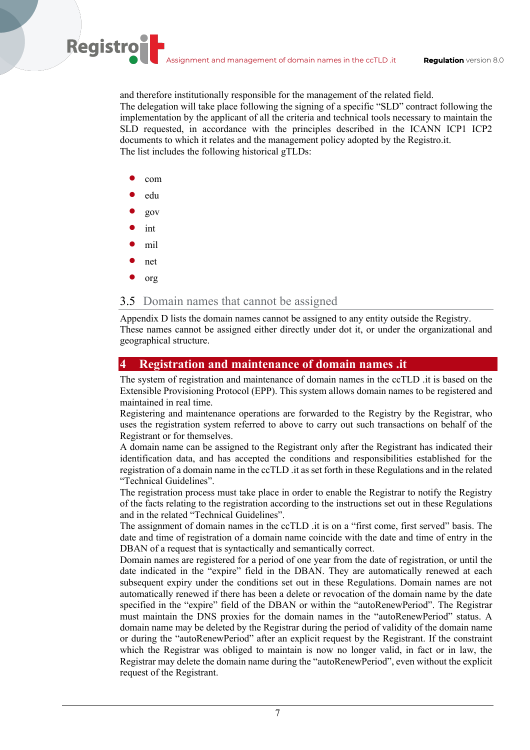and therefore institutionally responsible for the management of the related field. The delegation will take place following the signing of a specific "SLD" contract following the implementation by the applicant of all the criteria and technical tools necessary to maintain the SLD requested, in accordance with the principles described in the ICANN ICP1 ICP2 documents to which it relates and the management policy adopted by the Registro.it. The list includes the following historical gTLDs:

com

**Registro** 

- edu
- gov
- int
- mil
- net
- org

## 3.5 Domain names that cannot be assigned

Appendix D lists the domain names cannot be assigned to any entity outside the Registry. These names cannot be assigned either directly under dot it, or under the organizational and geographical structure.

## **4 Registration and maintenance of domain names .it**

The system of registration and maintenance of domain names in the ccTLD .it is based on the Extensible Provisioning Protocol (EPP). This system allows domain names to be registered and maintained in real time.

Registering and maintenance operations are forwarded to the Registry by the Registrar, who uses the registration system referred to above to carry out such transactions on behalf of the Registrant or for themselves.

A domain name can be assigned to the Registrant only after the Registrant has indicated their identification data, and has accepted the conditions and responsibilities established for the registration of a domain name in the ccTLD .it as set forth in these Regulations and in the related "Technical Guidelines".

The registration process must take place in order to enable the Registrar to notify the Registry of the facts relating to the registration according to the instructions set out in these Regulations and in the related "Technical Guidelines".

The assignment of domain names in the ccTLD .it is on a "first come, first served" basis. The date and time of registration of a domain name coincide with the date and time of entry in the DBAN of a request that is syntactically and semantically correct.

Domain names are registered for a period of one year from the date of registration, or until the date indicated in the "expire" field in the DBAN. They are automatically renewed at each subsequent expiry under the conditions set out in these Regulations. Domain names are not automatically renewed if there has been a delete or revocation of the domain name by the date specified in the "expire" field of the DBAN or within the "autoRenewPeriod". The Registrar must maintain the DNS proxies for the domain names in the "autoRenewPeriod" status. A domain name may be deleted by the Registrar during the period of validity of the domain name or during the "autoRenewPeriod" after an explicit request by the Registrant. If the constraint which the Registrar was obliged to maintain is now no longer valid, in fact or in law, the Registrar may delete the domain name during the "autoRenewPeriod", even without the explicit request of the Registrant.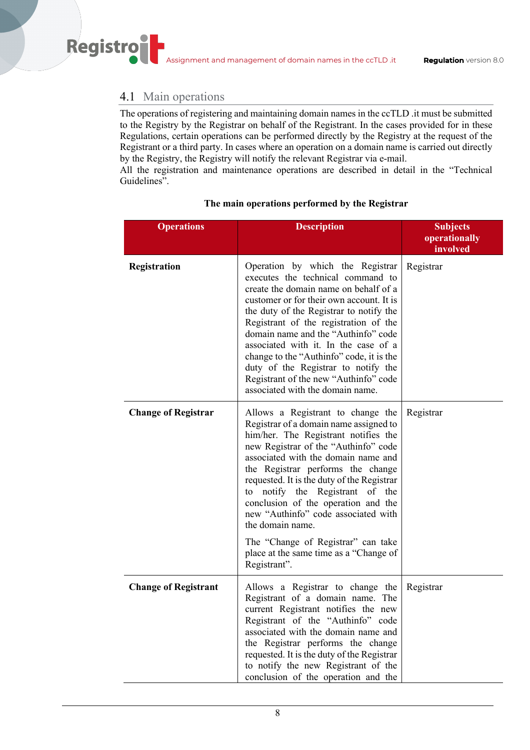## 4.1 Main operations

Registro

The operations of registering and maintaining domain names in the ccTLD .it must be submitted to the Registry by the Registrar on behalf of the Registrant. In the cases provided for in these Regulations, certain operations can be performed directly by the Registry at the request of the Registrant or a third party. In cases where an operation on a domain name is carried out directly by the Registry, the Registry will notify the relevant Registrar via e-mail.

All the registration and maintenance operations are described in detail in the "Technical Guidelines".

| <b>Operations</b>           | <b>Description</b>                                                                                                                                                                                                                                                                                                                                                                                                                                                                                                            | <b>Subjects</b><br>operationally<br>involved |
|-----------------------------|-------------------------------------------------------------------------------------------------------------------------------------------------------------------------------------------------------------------------------------------------------------------------------------------------------------------------------------------------------------------------------------------------------------------------------------------------------------------------------------------------------------------------------|----------------------------------------------|
| Registration                | Operation by which the Registrar<br>executes the technical command to<br>create the domain name on behalf of a<br>customer or for their own account. It is<br>the duty of the Registrar to notify the<br>Registrant of the registration of the<br>domain name and the "Authinfo" code<br>associated with it. In the case of a<br>change to the "Authinfo" code, it is the<br>duty of the Registrar to notify the<br>Registrant of the new "Authinfo" code<br>associated with the domain name.                                 | Registrar                                    |
| <b>Change of Registrar</b>  | Allows a Registrant to change the<br>Registrar of a domain name assigned to<br>him/her. The Registrant notifies the<br>new Registrar of the "Authinfo" code<br>associated with the domain name and<br>the Registrar performs the change<br>requested. It is the duty of the Registrar<br>notify the Registrant of the<br>to<br>conclusion of the operation and the<br>new "Authinfo" code associated with<br>the domain name.<br>The "Change of Registrar" can take<br>place at the same time as a "Change of<br>Registrant". | Registrar                                    |
| <b>Change of Registrant</b> | Allows a Registrar to change the<br>Registrant of a domain name. The<br>current Registrant notifies the new<br>Registrant of the "Authinfo" code<br>associated with the domain name and<br>the Registrar performs the change<br>requested. It is the duty of the Registrar<br>to notify the new Registrant of the<br>conclusion of the operation and the                                                                                                                                                                      | Registrar                                    |

## **The main operations performed by the Registrar**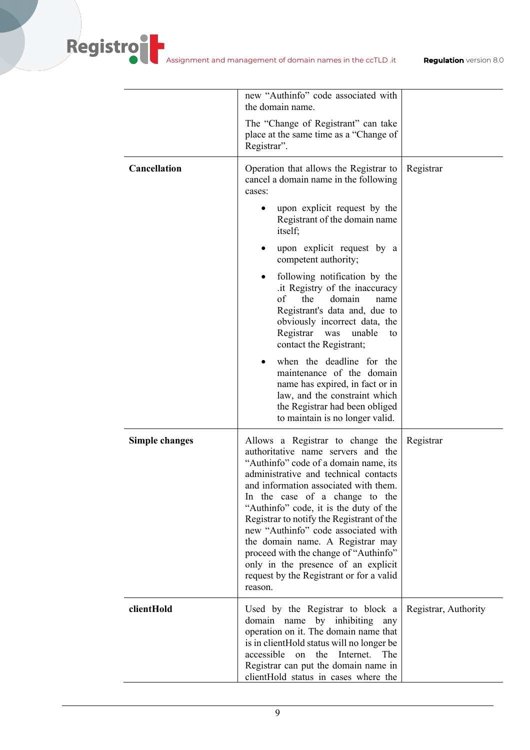|                       | new "Authinfo" code associated with<br>the domain name.<br>The "Change of Registrant" can take<br>place at the same time as a "Change of                                                                                                                                                                                                                                                                                                                                                                                                     |                      |
|-----------------------|----------------------------------------------------------------------------------------------------------------------------------------------------------------------------------------------------------------------------------------------------------------------------------------------------------------------------------------------------------------------------------------------------------------------------------------------------------------------------------------------------------------------------------------------|----------------------|
|                       | Registrar".                                                                                                                                                                                                                                                                                                                                                                                                                                                                                                                                  |                      |
| <b>Cancellation</b>   | Operation that allows the Registrar to<br>cancel a domain name in the following<br>cases:<br>upon explicit request by the                                                                                                                                                                                                                                                                                                                                                                                                                    | Registrar            |
|                       | Registrant of the domain name<br>itself;                                                                                                                                                                                                                                                                                                                                                                                                                                                                                                     |                      |
|                       | upon explicit request by a<br>competent authority;                                                                                                                                                                                                                                                                                                                                                                                                                                                                                           |                      |
|                       | following notification by the<br>it Registry of the inaccuracy<br>of<br>the<br>domain<br>name<br>Registrant's data and, due to<br>obviously incorrect data, the<br>Registrar was<br>unable<br>to<br>contact the Registrant;                                                                                                                                                                                                                                                                                                                  |                      |
|                       | when the deadline for the<br>maintenance of the domain<br>name has expired, in fact or in<br>law, and the constraint which<br>the Registrar had been obliged<br>to maintain is no longer valid.                                                                                                                                                                                                                                                                                                                                              |                      |
| <b>Simple changes</b> | Allows a Registrar to change the<br>authoritative name servers and the<br>"Authinfo" code of a domain name, its<br>administrative and technical contacts<br>and information associated with them.<br>In the case of a change to the<br>"Authinfo" code, it is the duty of the<br>Registrar to notify the Registrant of the<br>new "Authinfo" code associated with<br>the domain name. A Registrar may<br>proceed with the change of "Authinfo"<br>only in the presence of an explicit<br>request by the Registrant or for a valid<br>reason. | Registrar            |
| clientHold            | Used by the Registrar to block a<br>domain name by inhibiting<br>any<br>operation on it. The domain name that<br>is in clientHold status will no longer be<br>accessible on the Internet.<br><b>The</b><br>Registrar can put the domain name in<br>clientHold status in cases where the                                                                                                                                                                                                                                                      | Registrar, Authority |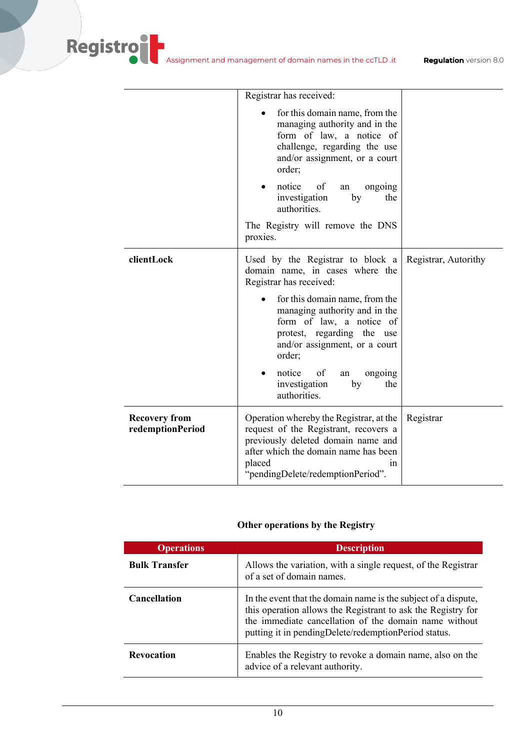|                                          | Registrar has received:                                                                                                                                                                                             |                      |
|------------------------------------------|---------------------------------------------------------------------------------------------------------------------------------------------------------------------------------------------------------------------|----------------------|
|                                          | for this domain name, from the<br>managing authority and in the<br>form of law, a notice of<br>challenge, regarding the use<br>and/or assignment, or a court<br>order;                                              |                      |
|                                          | notice<br>of<br>ongoing<br>an<br>investigation<br>by<br>the<br>authorities.                                                                                                                                         |                      |
|                                          | The Registry will remove the DNS<br>proxies.                                                                                                                                                                        |                      |
| clientLock                               | Used by the Registrar to block a<br>domain name, in cases where the<br>Registrar has received:                                                                                                                      | Registrar, Autorithy |
|                                          | for this domain name, from the<br>managing authority and in the<br>form of law, a notice of<br>protest, regarding the use<br>and/or assignment, or a court<br>order;                                                |                      |
|                                          | notice<br>of<br>ongoing<br>an<br>investigation<br>the<br>by<br>authorities.                                                                                                                                         |                      |
| <b>Recovery from</b><br>redemptionPeriod | Operation whereby the Registrar, at the<br>request of the Registrant, recovers a<br>previously deleted domain name and<br>after which the domain name has been<br>placed<br>1n<br>"pendingDelete/redemptionPeriod". | Registrar            |

## **Other operations by the Registry**

| <b>Operations</b>    | <b>Description</b>                                                                                                                                                                                                                              |
|----------------------|-------------------------------------------------------------------------------------------------------------------------------------------------------------------------------------------------------------------------------------------------|
| <b>Bulk Transfer</b> | Allows the variation, with a single request, of the Registrar<br>of a set of domain names.                                                                                                                                                      |
| <b>Cancellation</b>  | In the event that the domain name is the subject of a dispute,<br>this operation allows the Registrant to ask the Registry for<br>the immediate cancellation of the domain name without<br>putting it in pendingDelete/redemptionPeriod status. |
| <b>Revocation</b>    | Enables the Registry to revoke a domain name, also on the<br>advice of a relevant authority.                                                                                                                                                    |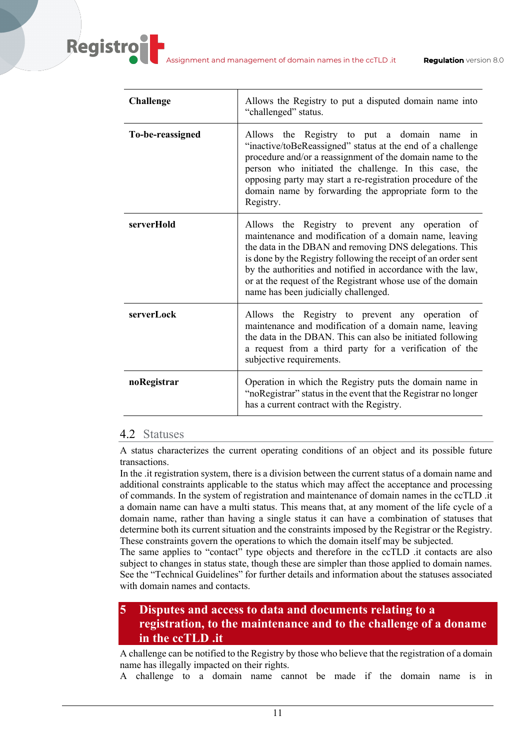| <b>Challenge</b> | Allows the Registry to put a disputed domain name into<br>"challenged" status.                                                                                                                                                                                                                                                                                                                               |
|------------------|--------------------------------------------------------------------------------------------------------------------------------------------------------------------------------------------------------------------------------------------------------------------------------------------------------------------------------------------------------------------------------------------------------------|
| To-be-reassigned | Allows the Registry to put a domain name<br>1n<br>"inactive/toBeReassigned" status at the end of a challenge<br>procedure and/or a reassignment of the domain name to the<br>person who initiated the challenge. In this case, the<br>opposing party may start a re-registration procedure of the<br>domain name by forwarding the appropriate form to the<br>Registry.                                      |
| serverHold       | Allows the Registry to prevent any operation of<br>maintenance and modification of a domain name, leaving<br>the data in the DBAN and removing DNS delegations. This<br>is done by the Registry following the receipt of an order sent<br>by the authorities and notified in accordance with the law,<br>or at the request of the Registrant whose use of the domain<br>name has been judicially challenged. |
| serverLock       | Allows the Registry to prevent any operation of<br>maintenance and modification of a domain name, leaving<br>the data in the DBAN. This can also be initiated following<br>a request from a third party for a verification of the<br>subjective requirements.                                                                                                                                                |
| noRegistrar      | Operation in which the Registry puts the domain name in<br>"noRegistrar" status in the event that the Registrar no longer<br>has a current contract with the Registry.                                                                                                                                                                                                                                       |

## 4.2 Statuses

**Registro** 

A status characterizes the current operating conditions of an object and its possible future transactions.

In the .it registration system, there is a division between the current status of a domain name and additional constraints applicable to the status which may affect the acceptance and processing of commands. In the system of registration and maintenance of domain names in the ccTLD .it a domain name can have a multi status. This means that, at any moment of the life cycle of a domain name, rather than having a single status it can have a combination of statuses that determine both its current situation and the constraints imposed by the Registrar or the Registry. These constraints govern the operations to which the domain itself may be subjected.

The same applies to "contact" type objects and therefore in the ccTLD .it contacts are also subject to changes in status state, though these are simpler than those applied to domain names. See the "Technical Guidelines" for further details and information about the statuses associated with domain names and contacts.

# **5 Disputes and access to data and documents relating to a registration, to the maintenance and to the challenge of a doname in the ccTLD .it**

A challenge can be notified to the Registry by those who believe that the registration of a domain name has illegally impacted on their rights.

A challenge to a domain name cannot be made if the domain name is in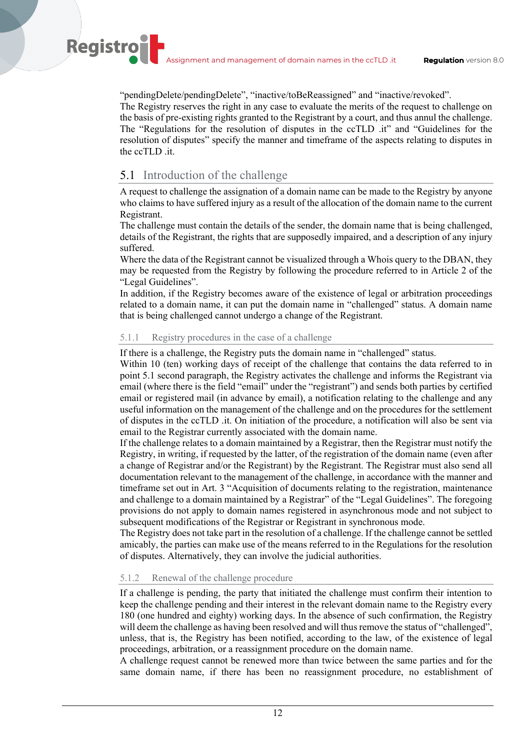"pendingDelete/pendingDelete", "inactive/toBeReassigned" and "inactive/revoked".

The Registry reserves the right in any case to evaluate the merits of the request to challenge on the basis of pre-existing rights granted to the Registrant by a court, and thus annul the challenge. The "Regulations for the resolution of disputes in the ccTLD .it" and "Guidelines for the resolution of disputes" specify the manner and timeframe of the aspects relating to disputes in the ccTLD .it.

## 5.1 Introduction of the challenge

**Registro** 

A request to challenge the assignation of a domain name can be made to the Registry by anyone who claims to have suffered injury as a result of the allocation of the domain name to the current Registrant.

The challenge must contain the details of the sender, the domain name that is being challenged, details of the Registrant, the rights that are supposedly impaired, and a description of any injury suffered.

Where the data of the Registrant cannot be visualized through a Whois query to the DBAN, they may be requested from the Registry by following the procedure referred to in Article 2 of the "Legal Guidelines".

In addition, if the Registry becomes aware of the existence of legal or arbitration proceedings related to a domain name, it can put the domain name in "challenged" status. A domain name that is being challenged cannot undergo a change of the Registrant.

### 5.1.1 Registry procedures in the case of a challenge

If there is a challenge, the Registry puts the domain name in "challenged" status.

Within 10 (ten) working days of receipt of the challenge that contains the data referred to in point 5.1 second paragraph, the Registry activates the challenge and informs the Registrant via email (where there is the field "email" under the "registrant") and sends both parties by certified email or registered mail (in advance by email), a notification relating to the challenge and any useful information on the management of the challenge and on the procedures for the settlement of disputes in the ccTLD .it. On initiation of the procedure, a notification will also be sent via email to the Registrar currently associated with the domain name.

If the challenge relates to a domain maintained by a Registrar, then the Registrar must notify the Registry, in writing, if requested by the latter, of the registration of the domain name (even after a change of Registrar and/or the Registrant) by the Registrant. The Registrar must also send all documentation relevant to the management of the challenge, in accordance with the manner and timeframe set out in Art. 3 "Acquisition of documents relating to the registration, maintenance and challenge to a domain maintained by a Registrar" of the "Legal Guidelines". The foregoing provisions do not apply to domain names registered in asynchronous mode and not subject to subsequent modifications of the Registrar or Registrant in synchronous mode.

The Registry does not take part in the resolution of a challenge. If the challenge cannot be settled amicably, the parties can make use of the means referred to in the Regulations for the resolution of disputes. Alternatively, they can involve the judicial authorities.

## 5.1.2 Renewal of the challenge procedure

If a challenge is pending, the party that initiated the challenge must confirm their intention to keep the challenge pending and their interest in the relevant domain name to the Registry every 180 (one hundred and eighty) working days. In the absence of such confirmation, the Registry will deem the challenge as having been resolved and will thus remove the status of "challenged", unless, that is, the Registry has been notified, according to the law, of the existence of legal proceedings, arbitration, or a reassignment procedure on the domain name.

A challenge request cannot be renewed more than twice between the same parties and for the same domain name, if there has been no reassignment procedure, no establishment of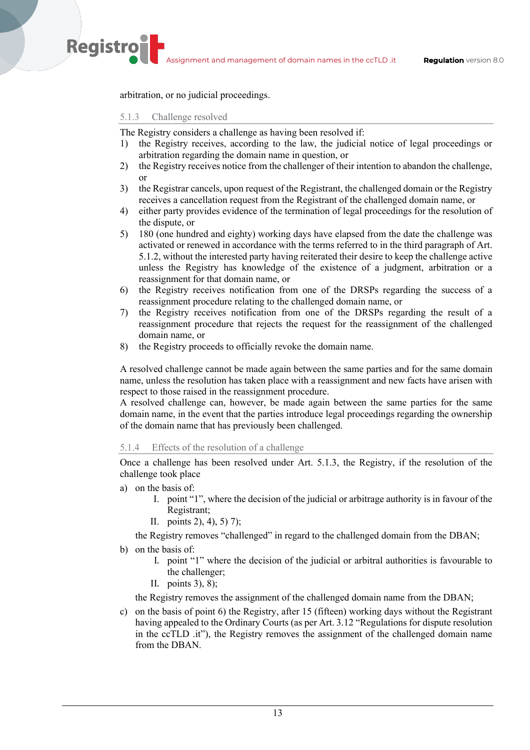arbitration, or no judicial proceedings.

#### 5.1.3 Challenge resolved

**Registro** 

The Registry considers a challenge as having been resolved if:

- 1) the Registry receives, according to the law, the judicial notice of legal proceedings or arbitration regarding the domain name in question, or
- 2) the Registry receives notice from the challenger of their intention to abandon the challenge, or
- 3) the Registrar cancels, upon request of the Registrant, the challenged domain or the Registry receives a cancellation request from the Registrant of the challenged domain name, or
- 4) either party provides evidence of the termination of legal proceedings for the resolution of the dispute, or
- 5) 180 (one hundred and eighty) working days have elapsed from the date the challenge was activated or renewed in accordance with the terms referred to in the third paragraph of Art. 5.1.2, without the interested party having reiterated their desire to keep the challenge active unless the Registry has knowledge of the existence of a judgment, arbitration or a reassignment for that domain name, or
- 6) the Registry receives notification from one of the DRSPs regarding the success of a reassignment procedure relating to the challenged domain name, or
- 7) the Registry receives notification from one of the DRSPs regarding the result of a reassignment procedure that rejects the request for the reassignment of the challenged domain name, or
- 8) the Registry proceeds to officially revoke the domain name.

A resolved challenge cannot be made again between the same parties and for the same domain name, unless the resolution has taken place with a reassignment and new facts have arisen with respect to those raised in the reassignment procedure.

A resolved challenge can, however, be made again between the same parties for the same domain name, in the event that the parties introduce legal proceedings regarding the ownership of the domain name that has previously been challenged.

#### 5.1.4 Effects of the resolution of a challenge

Once a challenge has been resolved under Art. 5.1.3, the Registry, if the resolution of the challenge took place

- a) on the basis of:
	- I. point "1", where the decision of the judicial or arbitrage authority is in favour of the Registrant;
	- II. points 2), 4), 5) 7);

the Registry removes "challenged" in regard to the challenged domain from the DBAN;

- b) on the basis of:
	- I. point "1" where the decision of the judicial or arbitral authorities is favourable to the challenger;
	- II. points 3), 8);

the Registry removes the assignment of the challenged domain name from the DBAN;

c) on the basis of point 6) the Registry, after 15 (fifteen) working days without the Registrant having appealed to the Ordinary Courts (as per Art. 3.12 "Regulations for dispute resolution in the ccTLD .it"), the Registry removes the assignment of the challenged domain name from the DBAN.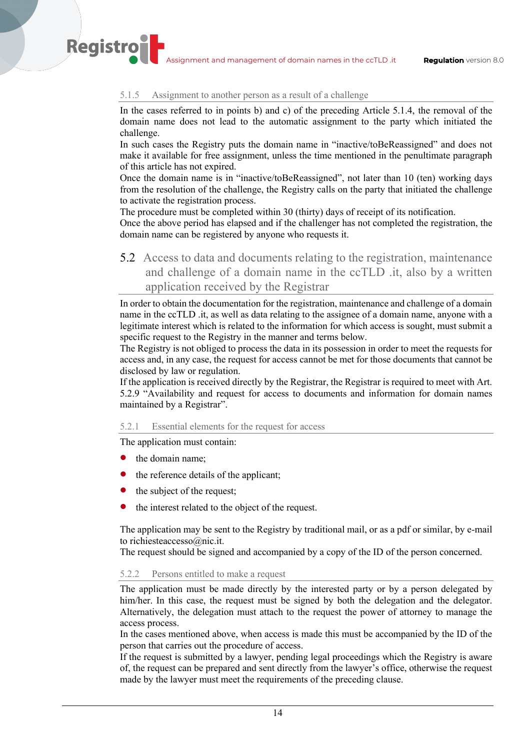#### 5.1.5 Assignment to another person as a result of a challenge

In the cases referred to in points b) and c) of the preceding Article 5.1.4, the removal of the domain name does not lead to the automatic assignment to the party which initiated the challenge.

In such cases the Registry puts the domain name in "inactive/toBeReassigned" and does not make it available for free assignment, unless the time mentioned in the penultimate paragraph of this article has not expired.

Once the domain name is in "inactive/toBeReassigned", not later than 10 (ten) working days from the resolution of the challenge, the Registry calls on the party that initiated the challenge to activate the registration process.

The procedure must be completed within 30 (thirty) days of receipt of its notification.

Once the above period has elapsed and if the challenger has not completed the registration, the domain name can be registered by anyone who requests it.

5.2 Access to data and documents relating to the registration, maintenance and challenge of a domain name in the ccTLD .it, also by a written application received by the Registrar

In order to obtain the documentation for the registration, maintenance and challenge of a domain name in the ccTLD .it, as well as data relating to the assignee of a domain name, anyone with a legitimate interest which is related to the information for which access is sought, must submit a specific request to the Registry in the manner and terms below.

The Registry is not obliged to process the data in its possession in order to meet the requests for access and, in any case, the request for access cannot be met for those documents that cannot be disclosed by law or regulation.

If the application is received directly by the Registrar, the Registrar is required to meet with Art. 5.2.9 "Availability and request for access to documents and information for domain names maintained by a Registrar".

#### 5.2.1 Essential elements for the request for access

The application must contain:

the domain name;

**Registro** 

- the reference details of the applicant;
- the subject of the request;
- the interest related to the object of the request.

The application may be sent to the Registry by traditional mail, or as a pdf or similar, by e-mail to richiesteaccesso@nic.it.

The request should be signed and accompanied by a copy of the ID of the person concerned.

#### 5.2.2 Persons entitled to make a request

The application must be made directly by the interested party or by a person delegated by him/her. In this case, the request must be signed by both the delegation and the delegator. Alternatively, the delegation must attach to the request the power of attorney to manage the access process.

In the cases mentioned above, when access is made this must be accompanied by the ID of the person that carries out the procedure of access.

If the request is submitted by a lawyer, pending legal proceedings which the Registry is aware of, the request can be prepared and sent directly from the lawyer's office, otherwise the request made by the lawyer must meet the requirements of the preceding clause.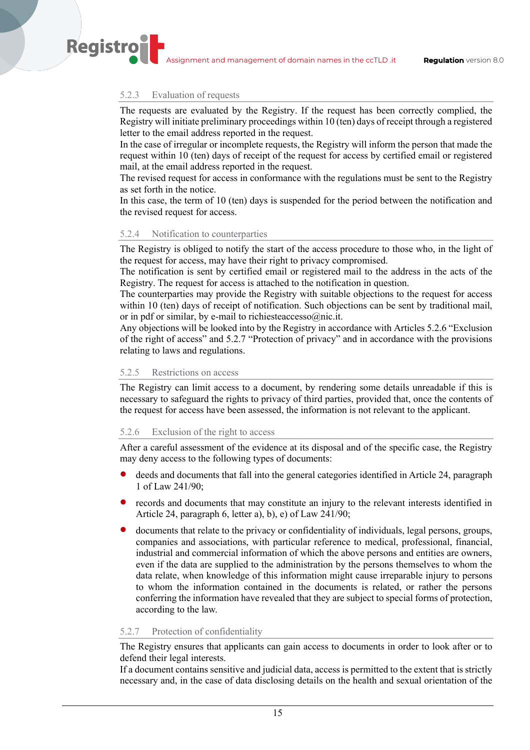#### 5.2.3 Evaluation of requests

**Registro** 

The requests are evaluated by the Registry. If the request has been correctly complied, the Registry will initiate preliminary proceedings within 10 (ten) days of receipt through a registered letter to the email address reported in the request.

In the case of irregular or incomplete requests, the Registry will inform the person that made the request within 10 (ten) days of receipt of the request for access by certified email or registered mail, at the email address reported in the request.

The revised request for access in conformance with the regulations must be sent to the Registry as set forth in the notice.

In this case, the term of 10 (ten) days is suspended for the period between the notification and the revised request for access.

#### 5.2.4 Notification to counterparties

The Registry is obliged to notify the start of the access procedure to those who, in the light of the request for access, may have their right to privacy compromised.

The notification is sent by certified email or registered mail to the address in the acts of the Registry. The request for access is attached to the notification in question.

The counterparties may provide the Registry with suitable objections to the request for access within 10 (ten) days of receipt of notification. Such objections can be sent by traditional mail, or in pdf or similar, by e-mail to richiesteaccesso@nic.it.

Any objections will be looked into by the Registry in accordance with Articles 5.2.6 "Exclusion of the right of access" and 5.2.7 "Protection of privacy" and in accordance with the provisions relating to laws and regulations.

#### 5.2.5 Restrictions on access

The Registry can limit access to a document, by rendering some details unreadable if this is necessary to safeguard the rights to privacy of third parties, provided that, once the contents of the request for access have been assessed, the information is not relevant to the applicant.

#### 5.2.6 Exclusion of the right to access

After a careful assessment of the evidence at its disposal and of the specific case, the Registry may deny access to the following types of documents:

- deeds and documents that fall into the general categories identified in Article 24, paragraph 1 of Law 241/90;
- records and documents that may constitute an injury to the relevant interests identified in Article 24, paragraph 6, letter a), b), e) of Law 241/90;
- documents that relate to the privacy or confidentiality of individuals, legal persons, groups, companies and associations, with particular reference to medical, professional, financial, industrial and commercial information of which the above persons and entities are owners, even if the data are supplied to the administration by the persons themselves to whom the data relate, when knowledge of this information might cause irreparable injury to persons to whom the information contained in the documents is related, or rather the persons conferring the information have revealed that they are subject to special forms of protection, according to the law.

#### 5.2.7 Protection of confidentiality

The Registry ensures that applicants can gain access to documents in order to look after or to defend their legal interests.

If a document contains sensitive and judicial data, access is permitted to the extent that is strictly necessary and, in the case of data disclosing details on the health and sexual orientation of the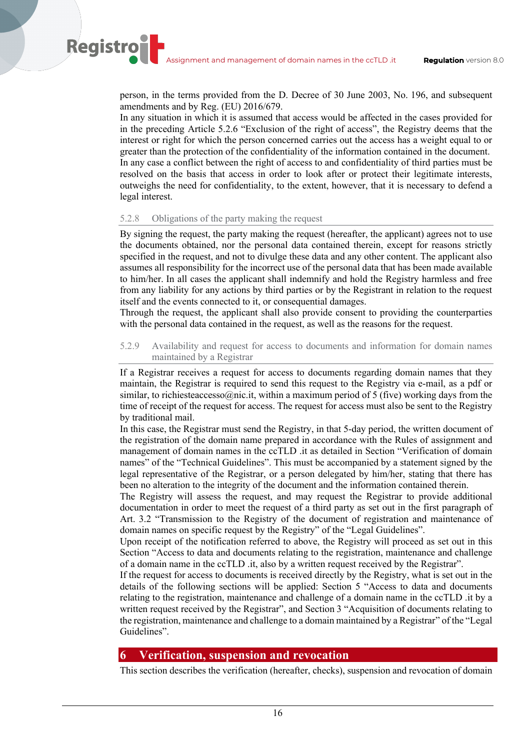person, in the terms provided from the D. Decree of 30 June 2003, No. 196, and subsequent amendments and by Reg. (EU) 2016/679.

In any situation in which it is assumed that access would be affected in the cases provided for in the preceding Article 5.2.6 "Exclusion of the right of access", the Registry deems that the interest or right for which the person concerned carries out the access has a weight equal to or greater than the protection of the confidentiality of the information contained in the document. In any case a conflict between the right of access to and confidentiality of third parties must be resolved on the basis that access in order to look after or protect their legitimate interests, outweighs the need for confidentiality, to the extent, however, that it is necessary to defend a legal interest.

#### 5.2.8 Obligations of the party making the request

**Registro** 

By signing the request, the party making the request (hereafter, the applicant) agrees not to use the documents obtained, nor the personal data contained therein, except for reasons strictly specified in the request, and not to divulge these data and any other content. The applicant also assumes all responsibility for the incorrect use of the personal data that has been made available to him/her. In all cases the applicant shall indemnify and hold the Registry harmless and free from any liability for any actions by third parties or by the Registrant in relation to the request itself and the events connected to it, or consequential damages.

Through the request, the applicant shall also provide consent to providing the counterparties with the personal data contained in the request, as well as the reasons for the request.

### 5.2.9 Availability and request for access to documents and information for domain names maintained by a Registrar

If a Registrar receives a request for access to documents regarding domain names that they maintain, the Registrar is required to send this request to the Registry via e-mail, as a pdf or similar, to richiesteaccesso@nic.it, within a maximum period of 5 (five) working days from the time of receipt of the request for access. The request for access must also be sent to the Registry by traditional mail.

In this case, the Registrar must send the Registry, in that 5-day period, the written document of the registration of the domain name prepared in accordance with the Rules of assignment and management of domain names in the ccTLD .it as detailed in Section "Verification of domain names" of the "Technical Guidelines". This must be accompanied by a statement signed by the legal representative of the Registrar, or a person delegated by him/her, stating that there has been no alteration to the integrity of the document and the information contained therein.

The Registry will assess the request, and may request the Registrar to provide additional documentation in order to meet the request of a third party as set out in the first paragraph of Art. 3.2 "Transmission to the Registry of the document of registration and maintenance of domain names on specific request by the Registry" of the "Legal Guidelines".

Upon receipt of the notification referred to above, the Registry will proceed as set out in this Section "Access to data and documents relating to the registration, maintenance and challenge of a domain name in the ccTLD .it, also by a written request received by the Registrar".

If the request for access to documents is received directly by the Registry, what is set out in the details of the following sections will be applied: Section 5 "Access to data and documents relating to the registration, maintenance and challenge of a domain name in the ccTLD .it by a written request received by the Registrar", and Section 3 "Acquisition of documents relating to the registration, maintenance and challenge to a domain maintained by a Registrar" of the "Legal Guidelines".

## **6 Verification, suspension and revocation**

This section describes the verification (hereafter, checks), suspension and revocation of domain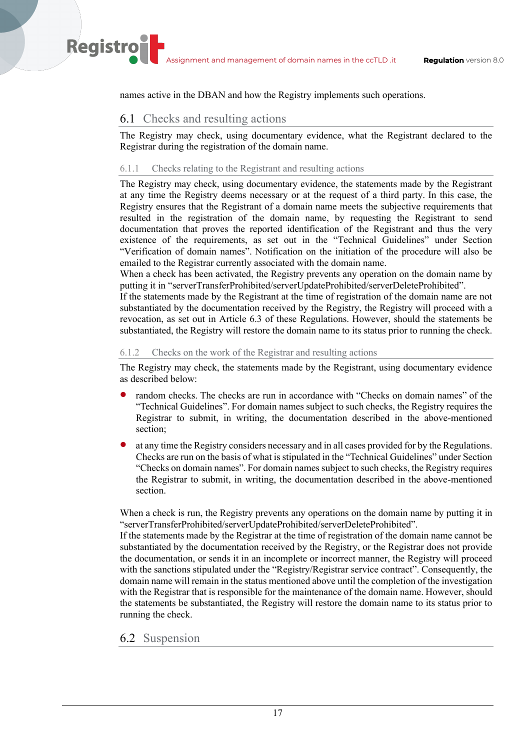names active in the DBAN and how the Registry implements such operations.

## 6.1 Checks and resulting actions

**Registro** 

The Registry may check, using documentary evidence, what the Registrant declared to the Registrar during the registration of the domain name.

## 6.1.1 Checks relating to the Registrant and resulting actions

The Registry may check, using documentary evidence, the statements made by the Registrant at any time the Registry deems necessary or at the request of a third party. In this case, the Registry ensures that the Registrant of a domain name meets the subjective requirements that resulted in the registration of the domain name, by requesting the Registrant to send documentation that proves the reported identification of the Registrant and thus the very existence of the requirements, as set out in the "Technical Guidelines" under Section "Verification of domain names". Notification on the initiation of the procedure will also be emailed to the Registrar currently associated with the domain name.

When a check has been activated, the Registry prevents any operation on the domain name by putting it in "serverTransferProhibited/serverUpdateProhibited/serverDeleteProhibited".

If the statements made by the Registrant at the time of registration of the domain name are not substantiated by the documentation received by the Registry, the Registry will proceed with a revocation, as set out in Article 6.3 of these Regulations. However, should the statements be substantiated, the Registry will restore the domain name to its status prior to running the check.

#### 6.1.2 Checks on the work of the Registrar and resulting actions

The Registry may check, the statements made by the Registrant, using documentary evidence as described below:

- random checks. The checks are run in accordance with "Checks on domain names" of the "Technical Guidelines". For domain names subject to such checks, the Registry requires the Registrar to submit, in writing, the documentation described in the above-mentioned section;
- at any time the Registry considers necessary and in all cases provided for by the Regulations. Checks are run on the basis of what is stipulated in the "Technical Guidelines" under Section "Checks on domain names". For domain names subject to such checks, the Registry requires the Registrar to submit, in writing, the documentation described in the above-mentioned section.

When a check is run, the Registry prevents any operations on the domain name by putting it in "serverTransferProhibited/serverUpdateProhibited/serverDeleteProhibited".

If the statements made by the Registrar at the time of registration of the domain name cannot be substantiated by the documentation received by the Registry, or the Registrar does not provide the documentation, or sends it in an incomplete or incorrect manner, the Registry will proceed with the sanctions stipulated under the "Registry/Registrar service contract". Consequently, the domain name will remain in the status mentioned above until the completion of the investigation with the Registrar that is responsible for the maintenance of the domain name. However, should the statements be substantiated, the Registry will restore the domain name to its status prior to running the check.

## 6.2 Suspension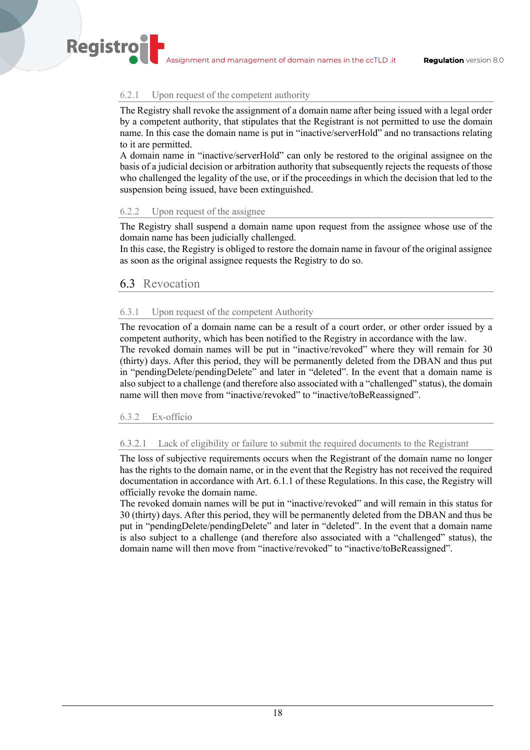#### 6.2.1 Upon request of the competent authority

The Registry shall revoke the assignment of a domain name after being issued with a legal order by a competent authority, that stipulates that the Registrant is not permitted to use the domain name. In this case the domain name is put in "inactive/serverHold" and no transactions relating to it are permitted.

A domain name in "inactive/serverHold" can only be restored to the original assignee on the basis of a judicial decision or arbitration authority that subsequently rejects the requests of those who challenged the legality of the use, or if the proceedings in which the decision that led to the suspension being issued, have been extinguished.

## 6.2.2 Upon request of the assignee

The Registry shall suspend a domain name upon request from the assignee whose use of the domain name has been judicially challenged.

In this case, the Registry is obliged to restore the domain name in favour of the original assignee as soon as the original assignee requests the Registry to do so.

### 6.3 Revocation

**Registro** 

#### 6.3.1 Upon request of the competent Authority

The revocation of a domain name can be a result of a court order, or other order issued by a competent authority, which has been notified to the Registry in accordance with the law. The revoked domain names will be put in "inactive/revoked" where they will remain for 30 (thirty) days. After this period, they will be permanently deleted from the DBAN and thus put in "pendingDelete/pendingDelete" and later in "deleted". In the event that a domain name is also subject to a challenge (and therefore also associated with a "challenged" status), the domain name will then move from "inactive/revoked" to "inactive/toBeReassigned".

#### 6.3.2 Ex-officio

### 6.3.2.1 Lack of eligibility or failure to submit the required documents to the Registrant

The loss of subjective requirements occurs when the Registrant of the domain name no longer has the rights to the domain name, or in the event that the Registry has not received the required documentation in accordance with Art. 6.1.1 of these Regulations. In this case, the Registry will officially revoke the domain name.

The revoked domain names will be put in "inactive/revoked" and will remain in this status for 30 (thirty) days. After this period, they will be permanently deleted from the DBAN and thus be put in "pendingDelete/pendingDelete" and later in "deleted". In the event that a domain name is also subject to a challenge (and therefore also associated with a "challenged" status), the domain name will then move from "inactive/revoked" to "inactive/toBeReassigned".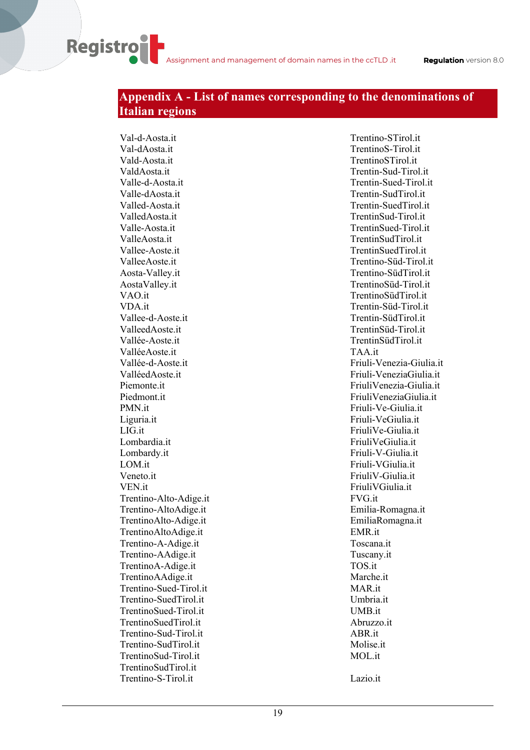## **Appendix A - List of names corresponding to the denominations of Italian regions**

Val-d-Aosta.it Val-dAosta.it Vald-Aosta.it ValdAosta.it Valle-d-Aosta.it Valle-dAosta.it Valled-Aosta.it ValledAosta.it Valle-Aosta.it ValleAosta.it Vallee-Aoste.it ValleeAoste.it Aosta-Valley.it AostaValley.it VAO.it VDA.it Vallee-d-Aoste.it ValleedAoste.it Vallée-Aoste.it ValléeAoste.it Vallée-d-Aoste.it ValléedAoste.it Piemonte.it Piedmont.it PMN.it Liguria.it LIG.it Lombardia.it Lombardy.it LOM.it Veneto.it VEN.it Trentino-Alto-Adige.it Trentino-AltoAdige.it TrentinoAlto-Adige.it TrentinoAltoAdige.it Trentino-A-Adige.it Trentino-AAdige.it TrentinoA-Adige.it TrentinoAAdige.it Trentino-Sued-Tirol.it Trentino-SuedTirol.it TrentinoSued-Tirol.it TrentinoSuedTirol.it Trentino-Sud-Tirol.it Trentino-SudTirol.it TrentinoSud-Tirol.it TrentinoSudTirol.it Trentino-S-Tirol.it

**Registro** 

Trentino-STirol.it TrentinoS-Tirol.it TrentinoSTirol.it Trentin-Sud-Tirol.it Trentin-Sued-Tirol.it Trentin-SudTirol.it Trentin-SuedTirol.it TrentinSud-Tirol.it TrentinSued-Tirol.it TrentinSudTirol.it TrentinSuedTirol.it Trentino-Süd-Tirol.it Trentino-SüdTirol.it TrentinoSüd-Tirol.it TrentinoSüdTirol.it Trentin-Süd-Tirol.it Trentin-SüdTirol.it TrentinSüd-Tirol.it TrentinSüdTirol.it TAA.it Friuli-Venezia-Giulia.it Friuli-VeneziaGiulia.it FriuliVenezia-Giulia.it FriuliVeneziaGiulia.it Friuli-Ve-Giulia.it Friuli-VeGiulia.it FriuliVe-Giulia.it FriuliVeGiulia.it Friuli-V-Giulia.it Friuli-VGiulia.it FriuliV-Giulia.it FriuliVGiulia.it FVG.it Emilia-Romagna.it EmiliaRomagna.it EMR.it Toscana.it Tuscany.it TOS.it Marche.it MAR.it Umbria.it UMB.it Abruzzo.it ABR.it Molise.it MOL.it

Lazio.it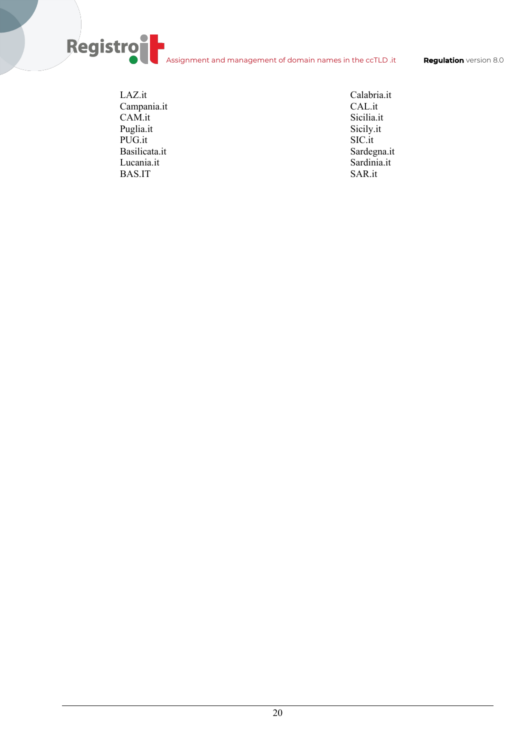Assignment and management of domain names in the ccTLD .it **Regulation** version 8.0

LAZ.it Campania.it CAM.it Puglia.it PUG.it Basilicata.it Lucania.it BAS.IT

Registro

Calabria.it CAL.it Sicilia.it Sicily.it SIC.it Sardegna.it Sardinia.it SAR.it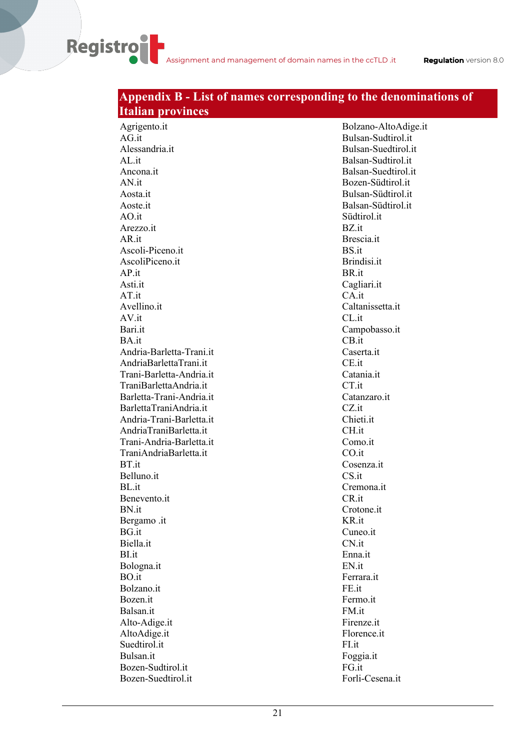#### **Italian provinces** Agrigento.it AG.it Alessandria.it AL.it Ancona.it AN.it Aosta.it Aoste.it AO.it Arezzo.it AR.it Ascoli-Piceno.it AscoliPiceno.it AP.it Asti.it AT.it Avellino.it AV.it Bari.it BA.it Andria-Barletta-Trani.it AndriaBarlettaTrani.it Trani-Barletta-Andria.it TraniBarlettaAndria.it Barletta-Trani-Andria.it BarlettaTraniAndria.it Andria-Trani-Barletta.it AndriaTraniBarletta.it Trani-Andria-Barletta.it TraniAndriaBarletta.it BT.it Belluno.it BL.it Benevento.it BN.it Bergamo .it BG.it Biella.it BI.it Bologna.it BO.it Bolzano.it Bozen.it Balsan.it Alto-Adige.it AltoAdige.it Suedtirol.it Bulsan.it Bolzano-AltoAdige.it Bulsan-Sudtirol.it Bulsan-Suedtirol.it Balsan-Sudtirol.it Balsan-Suedtirol.it Bozen-Südtirol.it Bulsan-Südtirol.it Balsan-Südtirol.it Südtirol.it BZ.it Brescia.it BS.it Brindisi.it BR.it Cagliari.it CA.it Caltanissetta.it CL.it Campobasso.it CB.it Caserta.it CE.it Catania.it CT.it Catanzaro.it CZ.it Chieti.it CH.it Como.it CO.it Cosenza.it CS it Cremona.it CR.it Crotone.it KR.it Cuneo.it CN<sub>it</sub> Enna.it EN.it Ferrara.it FE.it Fermo.it FM.it Firenze.it Florence.it FI.it Foggia.it

# **Appendix B - List of names corresponding to the denominations of**

FG.it

Forli-Cesena.it

Bozen-Sudtirol.it Bozen-Suedtirol.it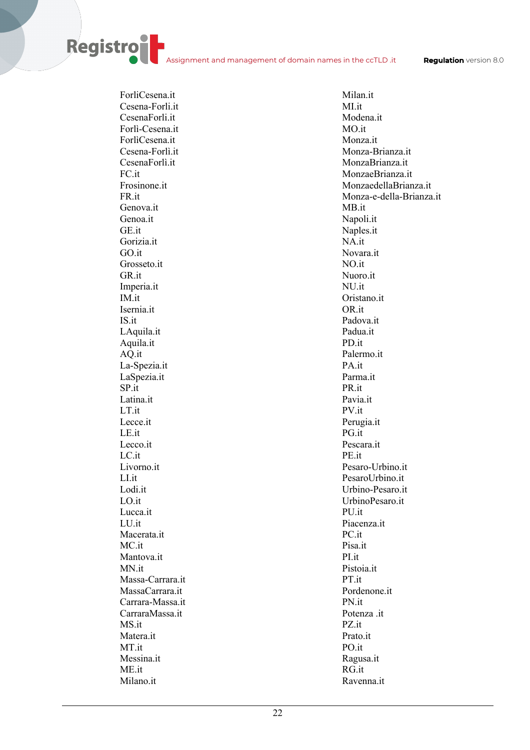ForliCesena.it Cesena-Forli.it CesenaForli.it Forlì-Cesena.it ForlìCesena.it Cesena-Forlì.it CesenaForlì.it  $FC$  it Frosinone.it FR.it Genova.it Genoa.it GE.it Gorizia.it GO.it Grosseto.it GR.it Imperia.it IM.it Isernia.it IS.it LAquila.it Aquila.it AQ.it La-Spezia.it LaSpezia.it SP.it Latina.it LT.it Lecce.it LE.it Lecco.it LC.it Livorno.it LI.it Lodi.it LO.it Lucca.it LU.it Macerata.it MC.it Mantova.it MN.it Massa-Carrara.it MassaCarrara.it Carrara-Massa.it CarraraMassa.it MS.it Matera.it MT.it Messina.it ME.it Milano.it

**Registro** 

Milan.it MI.it Modena.it MO.it Monza.it Monza-Brianza.it MonzaBrianza.it MonzaeBrianza.it MonzaedellaBrianza.it Monza-e-della-Brianza.it MB.it Napoli.it Naples.it NA.it Novara.it NO.it Nuoro.it NU.it Oristano.it OR.it Padova.it Padua.it PD.it Palermo.it PA.it Parma.it PR.it Pavia.it PV.it Perugia.it PG.it Pescara.it PE.it Pesaro-Urbino.it PesaroUrbino.it Urbino-Pesaro.it UrbinoPesaro.it PU.it Piacenza.it PC.it Pisa.it PI.it Pistoia.it PT.it Pordenone.it PN.it Potenza .it PZ.it Prato.it PO.it Ragusa.it RG.it Ravenna.it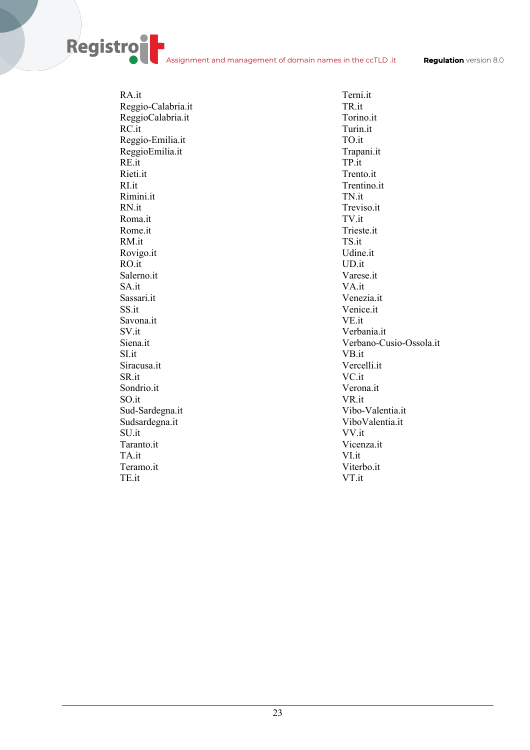RA.it Reggio-Calabria.it ReggioCalabria.it RC.it Reggio-Emilia.it ReggioEmilia.it RE.it Rieti.it RI.it Rimini.it RN.it Roma.it Rome.it RM.it Rovigo.it RO.it Salerno.it SA.it Sassari.it SS.it Savona.it SV.it Siena.it SI.it Siracusa.it SR.it Sondrio.it SO.it Sud-Sardegna.it Sudsardegna.it SU.it Taranto.it TA.it Teramo.it TE.it

Registro

Terni.it TR.it Torino.it Turin.it TO.it Trapani.it TP.it Trento.it Trentino.it TN.it Treviso.it TV.it Trieste.it TS.it Udine.it UD.it Varese.it VA.it Venezia.it Venice.it VE.it Verbania.it Verbano-Cusio-Ossola.it VB.it Vercelli.it VC.it Verona.it VR.it Vibo-Valentia.it ViboValentia.it VV.it Vicenza.it VI.it Viterbo.it VT.it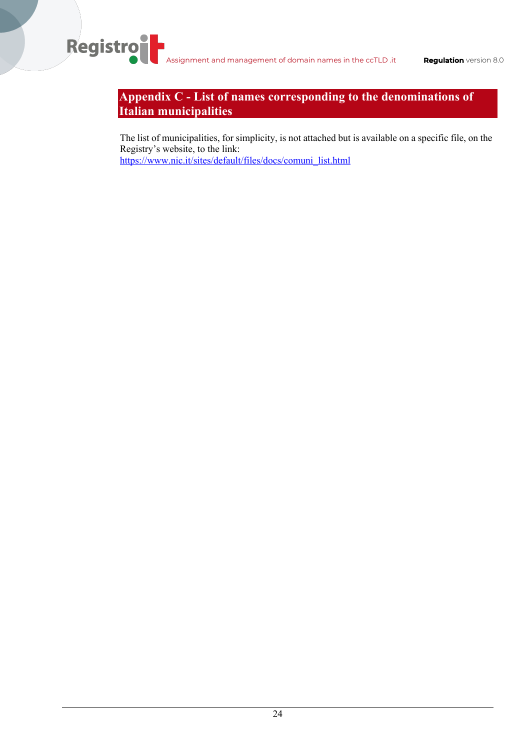Registro

# **Appendix C - List of names corresponding to the denominations of Italian municipalities**

The list of municipalities, for simplicity, is not attached but is available on a specific file, on the Registry's website, to the link: https://www.nic.it/sites/default/files/docs/comuni\_list.html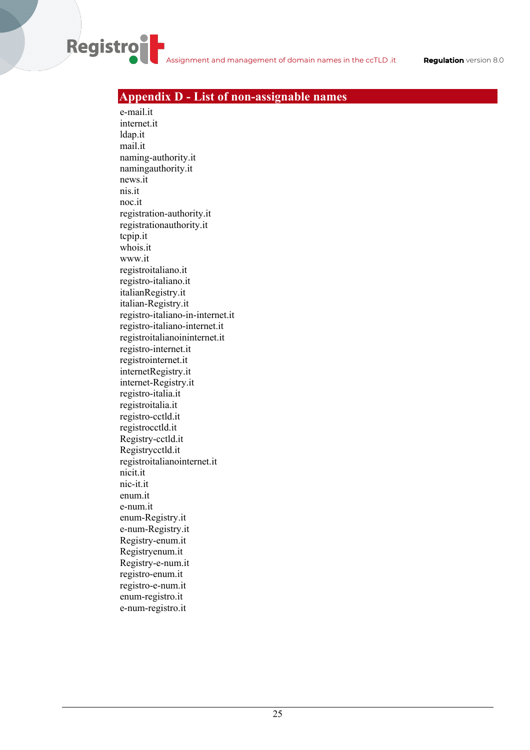## **Appendix D - List of non-assignable names**

e-mail.it internet.it ldap.it mail.it naming-authority.it namingauthority.it news.it nis.it noc.it registration-authority.it registrationauthority.it tcpip.it whois.it www.it registroitaliano.it registro-italiano.it italianRegistry.it italian-Registry.it registro-italiano-in-internet.it registro-italiano-internet.it registroitalianoininternet.it registro-internet.it registrointernet.it internetRegistry.it internet-Registry.it registro-italia.it registroitalia.it registro-cctld.it registrocctld.it Registry-cctld.it Registrycctld.it registroitalianointernet.it nicit.it nic-it.it enum.it e-num.it enum-Registry.it e-num-Registry.it Registry-enum.it Registryenum.it Registry-e-num.it registro-enum.it registro-e-num.it enum-registro.it e-num-registro.it

**Registro**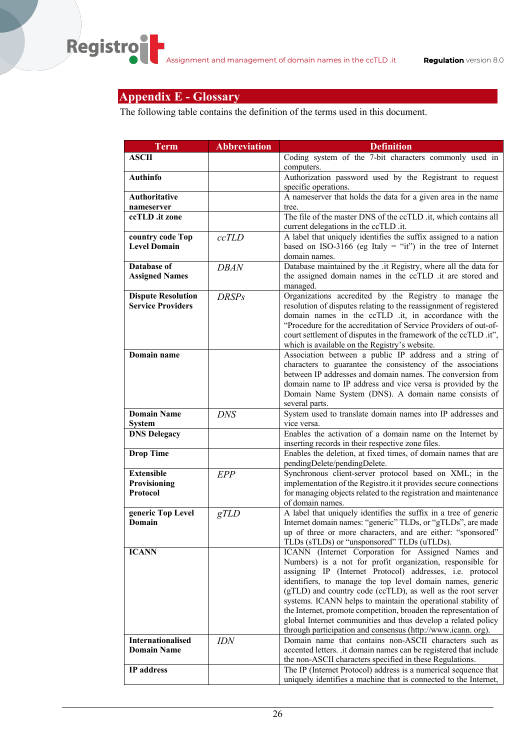# **Appendix E - Glossary**

The following table contains the definition of the terms used in this document.

| Term                                                  | <b>Abbreviation</b> | <b>Definition</b>                                                                                                                                                                                                                                                                                                                                                                                                                                                                                                                                                               |
|-------------------------------------------------------|---------------------|---------------------------------------------------------------------------------------------------------------------------------------------------------------------------------------------------------------------------------------------------------------------------------------------------------------------------------------------------------------------------------------------------------------------------------------------------------------------------------------------------------------------------------------------------------------------------------|
| <b>ASCII</b>                                          |                     | Coding system of the 7-bit characters commonly used in<br>computers.                                                                                                                                                                                                                                                                                                                                                                                                                                                                                                            |
| <b>Authinfo</b>                                       |                     | Authorization password used by the Registrant to request<br>specific operations.                                                                                                                                                                                                                                                                                                                                                                                                                                                                                                |
| <b>Authoritative</b><br>nameserver                    |                     | A nameserver that holds the data for a given area in the name<br>tree.                                                                                                                                                                                                                                                                                                                                                                                                                                                                                                          |
| ccTLD .it zone                                        |                     | The file of the master DNS of the ccTLD .it, which contains all<br>current delegations in the ccTLD .it.                                                                                                                                                                                                                                                                                                                                                                                                                                                                        |
| country code Top<br><b>Level Domain</b>               | ccTLD               | A label that uniquely identifies the suffix assigned to a nation<br>based on ISO-3166 (eg Italy = "it") in the tree of Internet<br>domain names.                                                                                                                                                                                                                                                                                                                                                                                                                                |
| Database of<br><b>Assigned Names</b>                  | <b>DBAN</b>         | Database maintained by the .it Registry, where all the data for<br>the assigned domain names in the ccTLD .it are stored and<br>managed.                                                                                                                                                                                                                                                                                                                                                                                                                                        |
| <b>Dispute Resolution</b><br><b>Service Providers</b> | <b>DRSPs</b>        | Organizations accredited by the Registry to manage the<br>resolution of disputes relating to the reassignment of registered<br>domain names in the ccTLD .it, in accordance with the<br>"Procedure for the accreditation of Service Providers of out-of-<br>court settlement of disputes in the framework of the ccTLD .it",<br>which is available on the Registry's website.                                                                                                                                                                                                   |
| Domain name                                           |                     | Association between a public IP address and a string of<br>characters to guarantee the consistency of the associations<br>between IP addresses and domain names. The conversion from<br>domain name to IP address and vice versa is provided by the<br>Domain Name System (DNS). A domain name consists of<br>several parts.                                                                                                                                                                                                                                                    |
| <b>Domain Name</b><br><b>System</b>                   | <b>DNS</b>          | System used to translate domain names into IP addresses and<br>vice versa.                                                                                                                                                                                                                                                                                                                                                                                                                                                                                                      |
| <b>DNS Delegacy</b>                                   |                     | Enables the activation of a domain name on the Internet by<br>inserting records in their respective zone files.                                                                                                                                                                                                                                                                                                                                                                                                                                                                 |
| <b>Drop Time</b>                                      |                     | Enables the deletion, at fixed times, of domain names that are<br>pendingDelete/pendingDelete.                                                                                                                                                                                                                                                                                                                                                                                                                                                                                  |
| <b>Extensible</b><br>Provisioning<br><b>Protocol</b>  | EPP                 | Synchronous client-server protocol based on XML; in the<br>implementation of the Registro.it it provides secure connections<br>for managing objects related to the registration and maintenance<br>of domain names.                                                                                                                                                                                                                                                                                                                                                             |
| generic Top Level<br>Domain                           | gTLD                | A label that uniquely identifies the suffix in a tree of generic<br>Internet domain names: "generic" TLDs, or "gTLDs", are made<br>up of three or more characters, and are either: "sponsored"<br>TLDs (sTLDs) or "unsponsored" TLDs (uTLDs).                                                                                                                                                                                                                                                                                                                                   |
| <b>ICANN</b>                                          |                     | ICANN (Internet Corporation for Assigned Names and<br>Numbers) is a not for profit organization, responsible for<br>assigning IP (Internet Protocol) addresses, i.e. protocol<br>identifiers, to manage the top level domain names, generic<br>(gTLD) and country code (ccTLD), as well as the root server<br>systems. ICANN helps to maintain the operational stability of<br>the Internet, promote competition, broaden the representation of<br>global Internet communities and thus develop a related policy<br>through participation and consensus (http://www.icann.org). |
| <b>Internationalised</b><br><b>Domain Name</b>        | <b>IDN</b>          | Domain name that contains non-ASCII characters such as<br>accented letters. .it domain names can be registered that include<br>the non-ASCII characters specified in these Regulations.                                                                                                                                                                                                                                                                                                                                                                                         |
| IP address                                            |                     | The IP (Internet Protocol) address is a numerical sequence that<br>uniquely identifies a machine that is connected to the Internet,                                                                                                                                                                                                                                                                                                                                                                                                                                             |